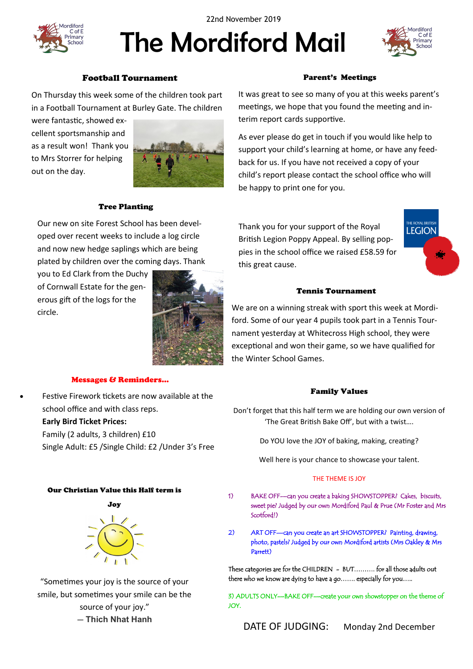

22nd November 2019

# The Mordiford Mail



#### Football Tournament

On Thursday this week some of the children took part in a Football Tournament at Burley Gate. The children

were fantastic, showed excellent sportsmanship and as a result won! Thank you to Mrs Storrer for helping out on the day.



#### Tree Planting

Our new on site Forest School has been developed over recent weeks to include a log circle and now new hedge saplings which are being plated by children over the coming days. Thank

you to Ed Clark from the Duchy of Cornwall Estate for the generous gift of the logs for the circle.



#### Messages & Reminders…

 Festive Firework tickets are now available at the school office and with class reps. **Early Bird Ticket Prices:**  Family (2 adults, 3 children) £10 Single Adult: £5 /Single Child: £2 /Under 3's Free

#### Our Christian Value this Half term is



"Sometimes your joy is the source of your smile, but sometimes your smile can be the source of your joy." ― **Thich Nhat Hanh**

#### Parent's Meetings

It was great to see so many of you at this weeks parent's meetings, we hope that you found the meeting and interim report cards supportive.

As ever please do get in touch if you would like help to support your child's learning at home, or have any feedback for us. If you have not received a copy of your child's report please contact the school office who will be happy to print one for you.

Thank you for your support of the Royal British Legion Poppy Appeal. By selling poppies in the school office we raised £58.59 for this great cause.



#### Tennis Tournament

We are on a winning streak with sport this week at Mordiford. Some of our year 4 pupils took part in a Tennis Tournament yesterday at Whitecross High school, they were exceptional and won their game, so we have qualified for the Winter School Games.

#### Family Values

Don't forget that this half term we are holding our own version of 'The Great British Bake Off', but with a twist….

Do YOU love the JOY of baking, making, creating?

Well here is your chance to showcase your talent.

#### THE THEME IS JOY

- 1) BAKE OFF—can you create a baking SHOWSTOPPER? Cakes, biscuits, sweet pie? Judged by our own Mordiford Paul & Prue (Mr Foster and Mrs Scotford!)
- 2) ART OFF—can you create an art SHOWSTOPPER? Painting, drawing, photo, pastels? Judged by our own Mordiford artists (Mrs Oakley & Mrs Parrett)

These categories are for the CHILDREN - BUT………. for all those adults out there who we know are dying to have a go……. especially for you…..

3) ADULTS ONLY—BAKE OFF—create your own showstopper on the theme of JOY.

DATE OF JUDGING: Monday 2nd December